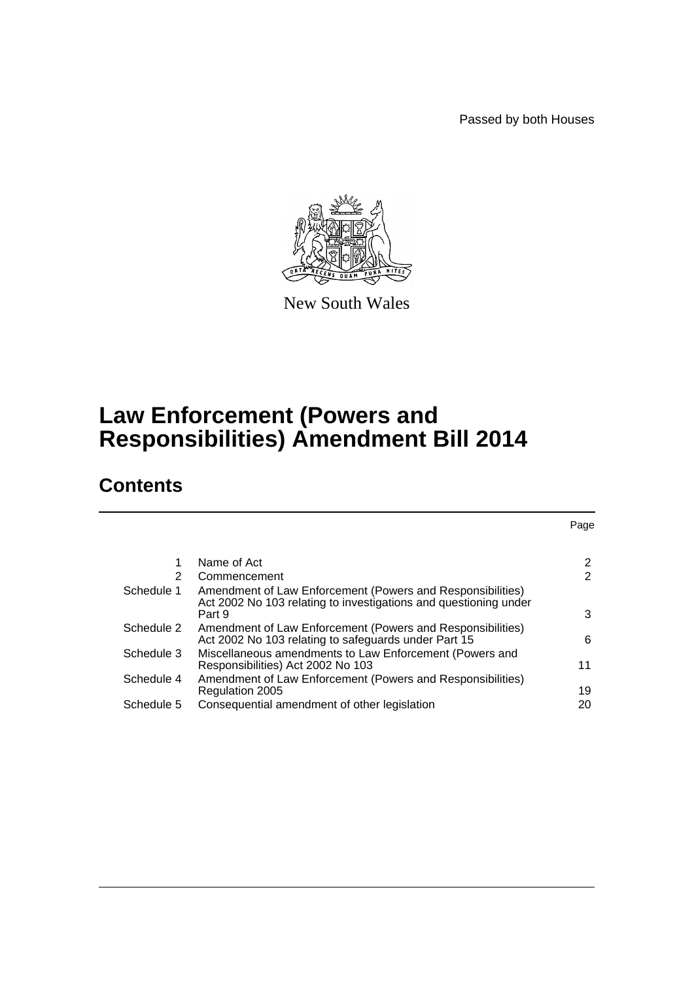Passed by both Houses

Page



New South Wales

# **Law Enforcement (Powers and Responsibilities) Amendment Bill 2014**

# **Contents**

| 1          | Name of Act                                                                                                                    | 2  |
|------------|--------------------------------------------------------------------------------------------------------------------------------|----|
| 2          | Commencement                                                                                                                   | 2  |
| Schedule 1 | Amendment of Law Enforcement (Powers and Responsibilities)<br>Act 2002 No 103 relating to investigations and questioning under |    |
|            | Part 9                                                                                                                         | 3  |
| Schedule 2 | Amendment of Law Enforcement (Powers and Responsibilities)<br>Act 2002 No 103 relating to safeguards under Part 15             | 6  |
| Schedule 3 | Miscellaneous amendments to Law Enforcement (Powers and<br>Responsibilities) Act 2002 No 103                                   | 11 |
| Schedule 4 | Amendment of Law Enforcement (Powers and Responsibilities)<br>Regulation 2005                                                  | 19 |
| Schedule 5 | Consequential amendment of other legislation                                                                                   | 20 |
|            |                                                                                                                                |    |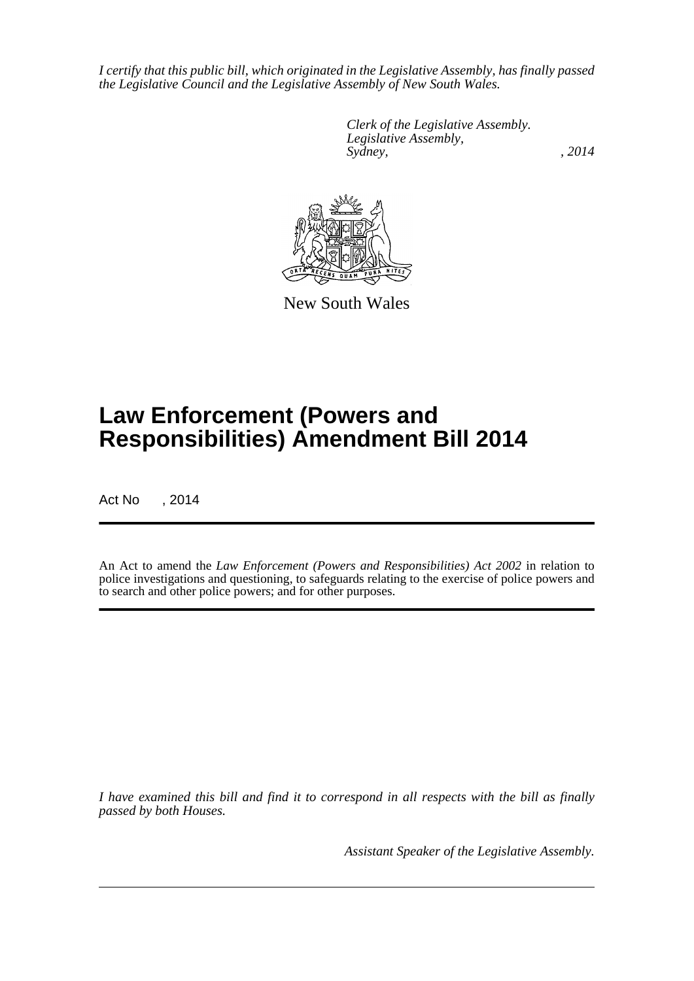*I certify that this public bill, which originated in the Legislative Assembly, has finally passed the Legislative Council and the Legislative Assembly of New South Wales.*

> *Clerk of the Legislative Assembly. Legislative Assembly, Sydney,* , 2014



New South Wales

# **Law Enforcement (Powers and Responsibilities) Amendment Bill 2014**

Act No , 2014

An Act to amend the *Law Enforcement (Powers and Responsibilities) Act 2002* in relation to police investigations and questioning, to safeguards relating to the exercise of police powers and to search and other police powers; and for other purposes.

*I have examined this bill and find it to correspond in all respects with the bill as finally passed by both Houses.*

*Assistant Speaker of the Legislative Assembly.*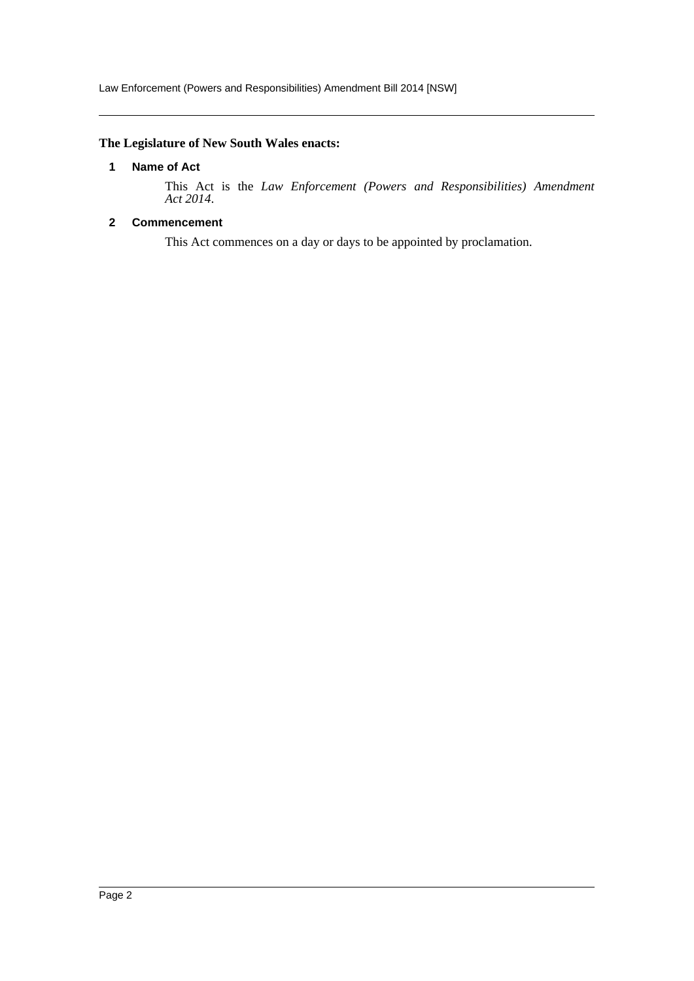# <span id="page-2-0"></span>**The Legislature of New South Wales enacts:**

#### **1 Name of Act**

This Act is the *Law Enforcement (Powers and Responsibilities) Amendment Act 2014*.

# <span id="page-2-1"></span>**2 Commencement**

This Act commences on a day or days to be appointed by proclamation.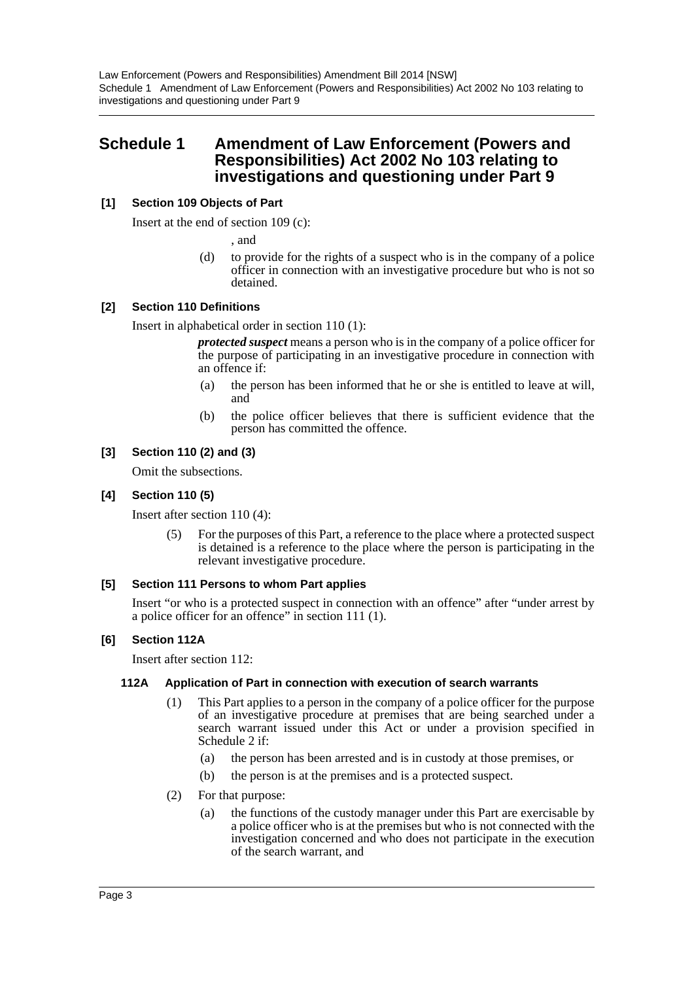Law Enforcement (Powers and Responsibilities) Amendment Bill 2014 [NSW] Schedule 1 Amendment of Law Enforcement (Powers and Responsibilities) Act 2002 No 103 relating to investigations and questioning under Part 9

# <span id="page-3-0"></span>**Schedule 1 Amendment of Law Enforcement (Powers and Responsibilities) Act 2002 No 103 relating to investigations and questioning under Part 9**

# **[1] Section 109 Objects of Part**

Insert at the end of section 109 (c):

, and

(d) to provide for the rights of a suspect who is in the company of a police officer in connection with an investigative procedure but who is not so detained.

#### **[2] Section 110 Definitions**

Insert in alphabetical order in section 110 (1):

*protected suspect* means a person who is in the company of a police officer for the purpose of participating in an investigative procedure in connection with an offence if:

- (a) the person has been informed that he or she is entitled to leave at will, and
- (b) the police officer believes that there is sufficient evidence that the person has committed the offence.

#### **[3] Section 110 (2) and (3)**

Omit the subsections.

#### **[4] Section 110 (5)**

Insert after section 110 (4):

(5) For the purposes of this Part, a reference to the place where a protected suspect is detained is a reference to the place where the person is participating in the relevant investigative procedure.

#### **[5] Section 111 Persons to whom Part applies**

Insert "or who is a protected suspect in connection with an offence" after "under arrest by a police officer for an offence" in section 111 (1).

#### **[6] Section 112A**

Insert after section 112:

#### **112A Application of Part in connection with execution of search warrants**

- (1) This Part applies to a person in the company of a police officer for the purpose of an investigative procedure at premises that are being searched under a search warrant issued under this Act or under a provision specified in Schedule 2 if:
	- (a) the person has been arrested and is in custody at those premises, or
	- (b) the person is at the premises and is a protected suspect.
- (2) For that purpose:
	- (a) the functions of the custody manager under this Part are exercisable by a police officer who is at the premises but who is not connected with the investigation concerned and who does not participate in the execution of the search warrant, and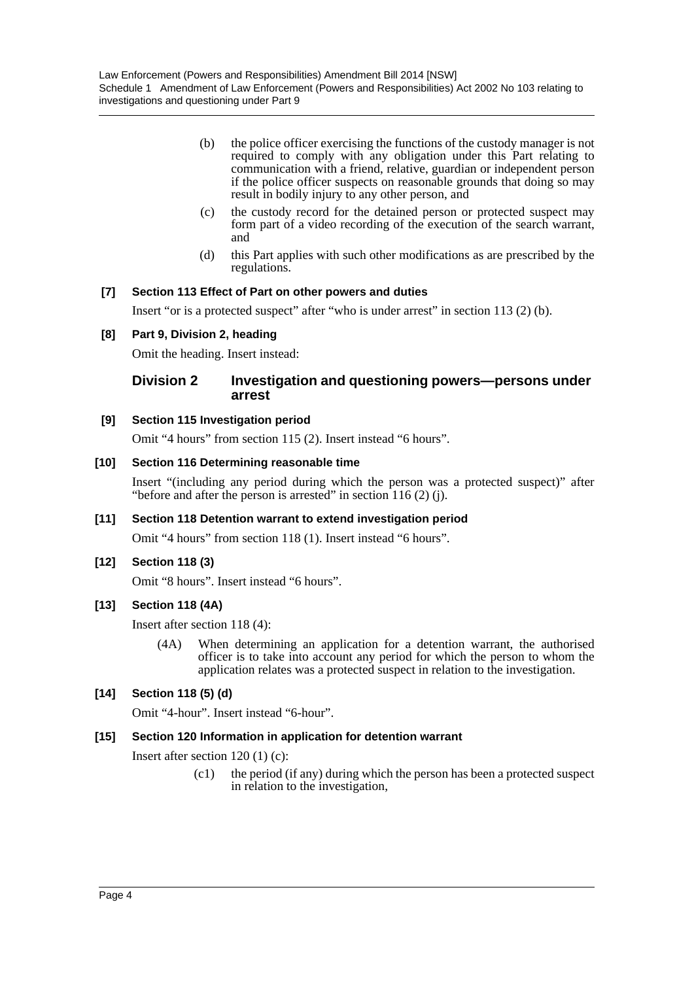- (b) the police officer exercising the functions of the custody manager is not required to comply with any obligation under this Part relating to communication with a friend, relative, guardian or independent person if the police officer suspects on reasonable grounds that doing so may result in bodily injury to any other person, and
- (c) the custody record for the detained person or protected suspect may form part of a video recording of the execution of the search warrant, and
- (d) this Part applies with such other modifications as are prescribed by the regulations.

# **[7] Section 113 Effect of Part on other powers and duties**

Insert "or is a protected suspect" after "who is under arrest" in section 113 (2) (b).

#### **[8] Part 9, Division 2, heading**

Omit the heading. Insert instead:

# **Division 2 Investigation and questioning powers—persons under arrest**

#### **[9] Section 115 Investigation period**

Omit "4 hours" from section 115 (2). Insert instead "6 hours".

#### **[10] Section 116 Determining reasonable time**

Insert "(including any period during which the person was a protected suspect)" after "before and after the person is arrested" in section  $116(2)$  (j).

#### **[11] Section 118 Detention warrant to extend investigation period**

Omit "4 hours" from section 118 (1). Insert instead "6 hours".

#### **[12] Section 118 (3)**

Omit "8 hours". Insert instead "6 hours".

#### **[13] Section 118 (4A)**

Insert after section 118 (4):

(4A) When determining an application for a detention warrant, the authorised officer is to take into account any period for which the person to whom the application relates was a protected suspect in relation to the investigation.

#### **[14] Section 118 (5) (d)**

Omit "4-hour". Insert instead "6-hour".

#### **[15] Section 120 Information in application for detention warrant**

Insert after section 120 (1) (c):

(c1) the period (if any) during which the person has been a protected suspect in relation to the investigation,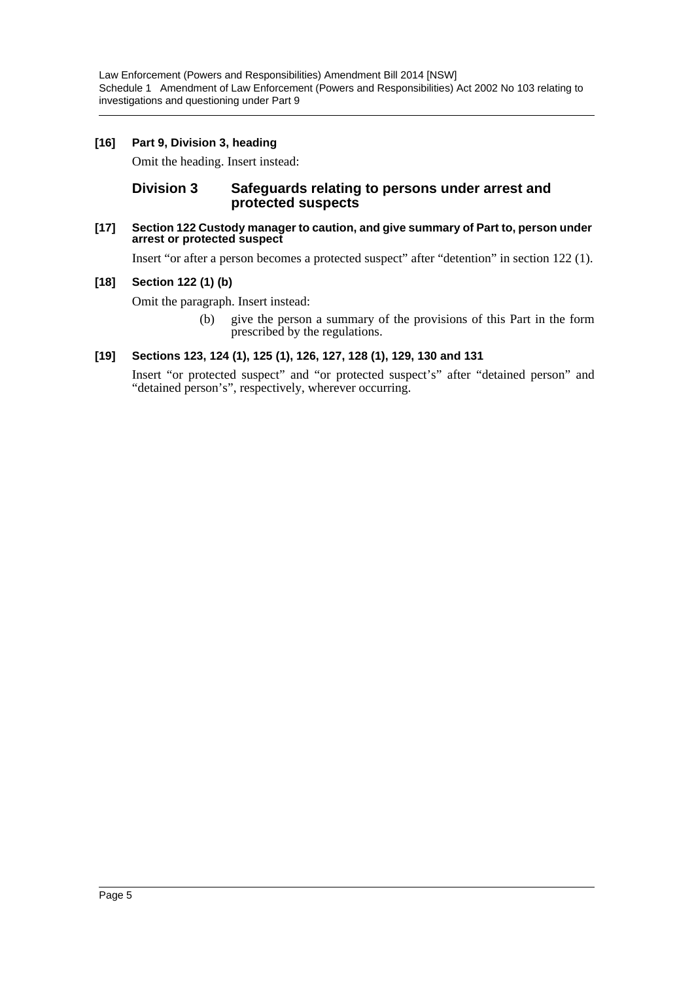# **[16] Part 9, Division 3, heading**

Omit the heading. Insert instead:

# **Division 3 Safeguards relating to persons under arrest and protected suspects**

#### **[17] Section 122 Custody manager to caution, and give summary of Part to, person under arrest or protected suspect**

Insert "or after a person becomes a protected suspect" after "detention" in section 122 (1).

#### **[18] Section 122 (1) (b)**

Omit the paragraph. Insert instead:

(b) give the person a summary of the provisions of this Part in the form prescribed by the regulations.

#### **[19] Sections 123, 124 (1), 125 (1), 126, 127, 128 (1), 129, 130 and 131**

Insert "or protected suspect" and "or protected suspect's" after "detained person" and "detained person's", respectively, wherever occurring.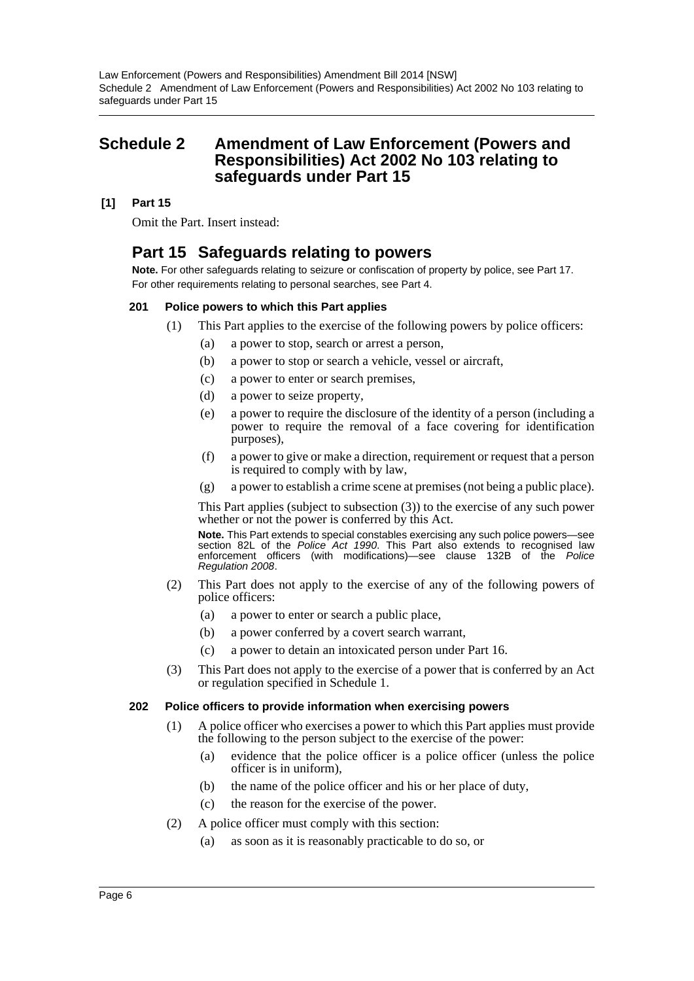# <span id="page-6-0"></span>**Schedule 2 Amendment of Law Enforcement (Powers and Responsibilities) Act 2002 No 103 relating to safeguards under Part 15**

# **[1] Part 15**

Omit the Part. Insert instead:

# **Part 15 Safeguards relating to powers**

**Note.** For other safeguards relating to seizure or confiscation of property by police, see Part 17. For other requirements relating to personal searches, see Part 4.

# **201 Police powers to which this Part applies**

- (1) This Part applies to the exercise of the following powers by police officers:
	- (a) a power to stop, search or arrest a person,
	- (b) a power to stop or search a vehicle, vessel or aircraft,
	- (c) a power to enter or search premises,
	- (d) a power to seize property,
	- (e) a power to require the disclosure of the identity of a person (including a power to require the removal of a face covering for identification purposes),
	- (f) a power to give or make a direction, requirement or request that a person is required to comply with by law,
	- (g) a power to establish a crime scene at premises (not being a public place).

This Part applies (subject to subsection (3)) to the exercise of any such power whether or not the power is conferred by this Act.

**Note.** This Part extends to special constables exercising any such police powers—see section 82L of the *Police Act 1990*. This Part also extends to recognised law enforcement officers (with modifications)—see clause 132B of the *Police Regulation 2008*.

- (2) This Part does not apply to the exercise of any of the following powers of police officers:
	- (a) a power to enter or search a public place,
	- (b) a power conferred by a covert search warrant,
	- (c) a power to detain an intoxicated person under Part 16.
- (3) This Part does not apply to the exercise of a power that is conferred by an Act or regulation specified in Schedule 1.

# **202 Police officers to provide information when exercising powers**

- (1) A police officer who exercises a power to which this Part applies must provide the following to the person subject to the exercise of the power:
	- (a) evidence that the police officer is a police officer (unless the police officer is in uniform),
	- (b) the name of the police officer and his or her place of duty,
	- (c) the reason for the exercise of the power.
- (2) A police officer must comply with this section:
	- (a) as soon as it is reasonably practicable to do so, or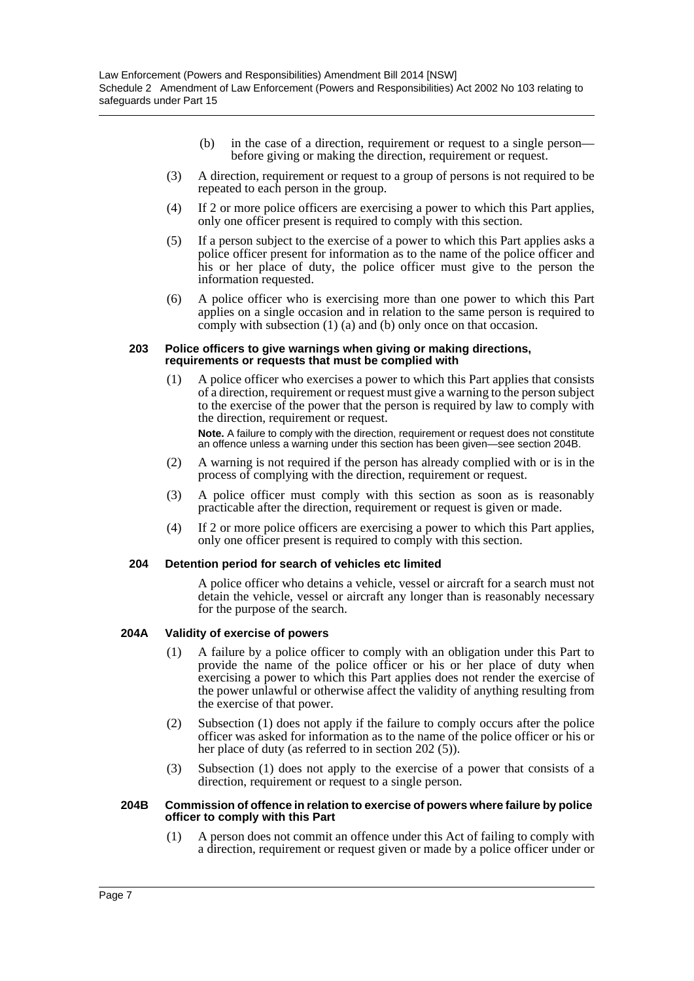- (b) in the case of a direction, requirement or request to a single person before giving or making the direction, requirement or request.
- (3) A direction, requirement or request to a group of persons is not required to be repeated to each person in the group.
- (4) If 2 or more police officers are exercising a power to which this Part applies, only one officer present is required to comply with this section.
- (5) If a person subject to the exercise of a power to which this Part applies asks a police officer present for information as to the name of the police officer and his or her place of duty, the police officer must give to the person the information requested.
- (6) A police officer who is exercising more than one power to which this Part applies on a single occasion and in relation to the same person is required to comply with subsection (1) (a) and (b) only once on that occasion.

#### **203 Police officers to give warnings when giving or making directions, requirements or requests that must be complied with**

(1) A police officer who exercises a power to which this Part applies that consists of a direction, requirement or request must give a warning to the person subject to the exercise of the power that the person is required by law to comply with the direction, requirement or request.

**Note.** A failure to comply with the direction, requirement or request does not constitute an offence unless a warning under this section has been given—see section 204B.

- (2) A warning is not required if the person has already complied with or is in the process of complying with the direction, requirement or request.
- (3) A police officer must comply with this section as soon as is reasonably practicable after the direction, requirement or request is given or made.
- (4) If 2 or more police officers are exercising a power to which this Part applies, only one officer present is required to comply with this section.

#### **204 Detention period for search of vehicles etc limited**

A police officer who detains a vehicle, vessel or aircraft for a search must not detain the vehicle, vessel or aircraft any longer than is reasonably necessary for the purpose of the search.

#### **204A Validity of exercise of powers**

- (1) A failure by a police officer to comply with an obligation under this Part to provide the name of the police officer or his or her place of duty when exercising a power to which this Part applies does not render the exercise of the power unlawful or otherwise affect the validity of anything resulting from the exercise of that power.
- (2) Subsection (1) does not apply if the failure to comply occurs after the police officer was asked for information as to the name of the police officer or his or her place of duty (as referred to in section 202 (5)).
- (3) Subsection (1) does not apply to the exercise of a power that consists of a direction, requirement or request to a single person.

#### **204B Commission of offence in relation to exercise of powers where failure by police officer to comply with this Part**

(1) A person does not commit an offence under this Act of failing to comply with a direction, requirement or request given or made by a police officer under or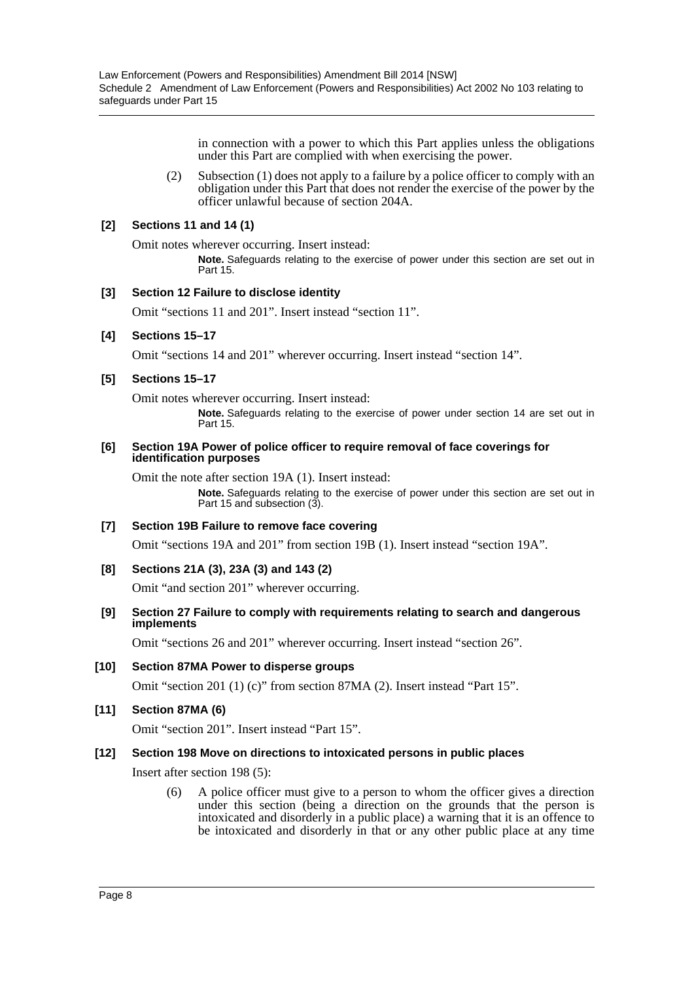in connection with a power to which this Part applies unless the obligations under this Part are complied with when exercising the power.

(2) Subsection (1) does not apply to a failure by a police officer to comply with an obligation under this Part that does not render the exercise of the power by the officer unlawful because of section 204A.

#### **[2] Sections 11 and 14 (1)**

Omit notes wherever occurring. Insert instead:

**Note.** Safeguards relating to the exercise of power under this section are set out in Part 15.

#### **[3] Section 12 Failure to disclose identity**

Omit "sections 11 and 201". Insert instead "section 11".

# **[4] Sections 15–17**

Omit "sections 14 and 201" wherever occurring. Insert instead "section 14".

#### **[5] Sections 15–17**

Omit notes wherever occurring. Insert instead:

**Note.** Safeguards relating to the exercise of power under section 14 are set out in Part 15.

#### **[6] Section 19A Power of police officer to require removal of face coverings for identification purposes**

Omit the note after section 19A (1). Insert instead:

**Note.** Safeguards relating to the exercise of power under this section are set out in Part 15 and subsection (3).

#### **[7] Section 19B Failure to remove face covering**

Omit "sections 19A and 201" from section 19B (1). Insert instead "section 19A".

#### **[8] Sections 21A (3), 23A (3) and 143 (2)**

Omit "and section 201" wherever occurring.

#### **[9] Section 27 Failure to comply with requirements relating to search and dangerous implements**

Omit "sections 26 and 201" wherever occurring. Insert instead "section 26".

#### **[10] Section 87MA Power to disperse groups**

Omit "section 201 (1) (c)" from section 87MA (2). Insert instead "Part 15".

#### **[11] Section 87MA (6)**

Omit "section 201". Insert instead "Part 15".

#### **[12] Section 198 Move on directions to intoxicated persons in public places**

Insert after section 198 (5):

(6) A police officer must give to a person to whom the officer gives a direction under this section (being a direction on the grounds that the person is intoxicated and disorderly in a public place) a warning that it is an offence to be intoxicated and disorderly in that or any other public place at any time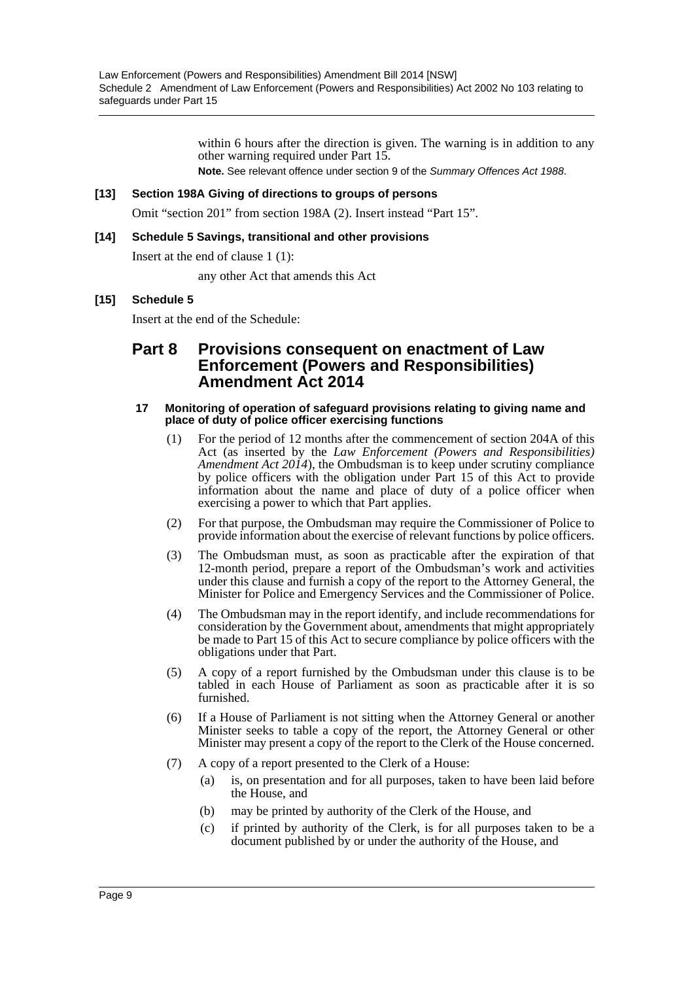within 6 hours after the direction is given. The warning is in addition to any other warning required under Part 15.

**Note.** See relevant offence under section 9 of the *Summary Offences Act 1988*.

# **[13] Section 198A Giving of directions to groups of persons**

Omit "section 201" from section 198A (2). Insert instead "Part 15".

# **[14] Schedule 5 Savings, transitional and other provisions**

Insert at the end of clause 1 (1):

any other Act that amends this Act

# **[15] Schedule 5**

Insert at the end of the Schedule:

# **Part 8 Provisions consequent on enactment of Law Enforcement (Powers and Responsibilities) Amendment Act 2014**

#### **17 Monitoring of operation of safeguard provisions relating to giving name and place of duty of police officer exercising functions**

- (1) For the period of 12 months after the commencement of section 204A of this Act (as inserted by the *Law Enforcement (Powers and Responsibilities) Amendment Act 2014*), the Ombudsman is to keep under scrutiny compliance by police officers with the obligation under Part 15 of this Act to provide information about the name and place of duty of a police officer when exercising a power to which that Part applies.
- (2) For that purpose, the Ombudsman may require the Commissioner of Police to provide information about the exercise of relevant functions by police officers.
- (3) The Ombudsman must, as soon as practicable after the expiration of that 12-month period, prepare a report of the Ombudsman's work and activities under this clause and furnish a copy of the report to the Attorney General, the Minister for Police and Emergency Services and the Commissioner of Police.
- (4) The Ombudsman may in the report identify, and include recommendations for consideration by the Government about, amendments that might appropriately be made to Part 15 of this Act to secure compliance by police officers with the obligations under that Part.
- (5) A copy of a report furnished by the Ombudsman under this clause is to be tabled in each House of Parliament as soon as practicable after it is so furnished.
- (6) If a House of Parliament is not sitting when the Attorney General or another Minister seeks to table a copy of the report, the Attorney General or other Minister may present a copy of the report to the Clerk of the House concerned.
- (7) A copy of a report presented to the Clerk of a House:
	- (a) is, on presentation and for all purposes, taken to have been laid before the House, and
	- (b) may be printed by authority of the Clerk of the House, and
	- (c) if printed by authority of the Clerk, is for all purposes taken to be a document published by or under the authority of the House, and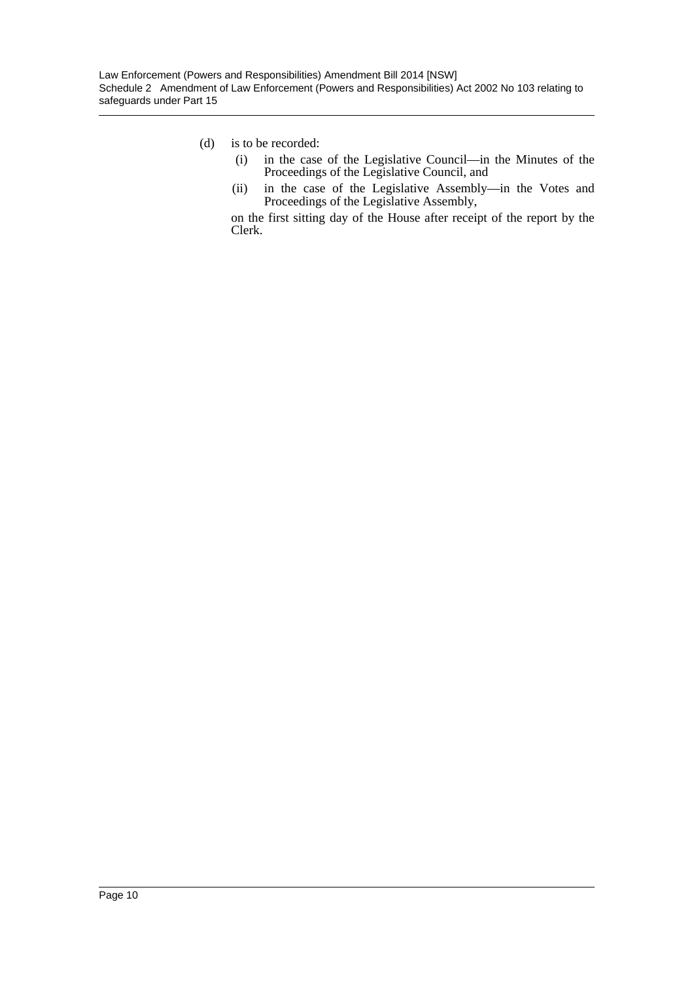# (d) is to be recorded:

- (i) in the case of the Legislative Council—in the Minutes of the Proceedings of the Legislative Council, and
- (ii) in the case of the Legislative Assembly—in the Votes and Proceedings of the Legislative Assembly,

on the first sitting day of the House after receipt of the report by the Clerk.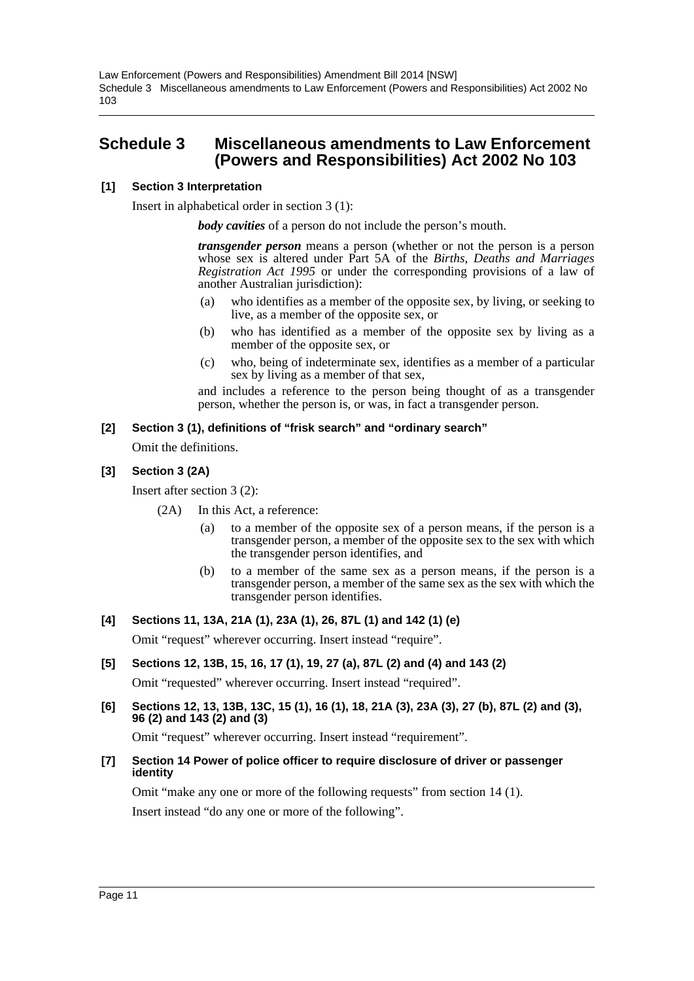# <span id="page-11-0"></span>**Schedule 3 Miscellaneous amendments to Law Enforcement (Powers and Responsibilities) Act 2002 No 103**

#### **[1] Section 3 Interpretation**

Insert in alphabetical order in section 3 (1):

*body cavities* of a person do not include the person's mouth.

*transgender person* means a person (whether or not the person is a person whose sex is altered under Part 5A of the *Births, Deaths and Marriages Registration Act 1995* or under the corresponding provisions of a law of another Australian jurisdiction):

- (a) who identifies as a member of the opposite sex, by living, or seeking to live, as a member of the opposite sex, or
- (b) who has identified as a member of the opposite sex by living as a member of the opposite sex, or
- (c) who, being of indeterminate sex, identifies as a member of a particular sex by living as a member of that sex,

and includes a reference to the person being thought of as a transgender person, whether the person is, or was, in fact a transgender person.

#### **[2] Section 3 (1), definitions of "frisk search" and "ordinary search"**

Omit the definitions.

# **[3] Section 3 (2A)**

Insert after section 3 (2):

- (2A) In this Act, a reference:
	- (a) to a member of the opposite sex of a person means, if the person is a transgender person, a member of the opposite sex to the sex with which the transgender person identifies, and
	- (b) to a member of the same sex as a person means, if the person is a transgender person, a member of the same sex as the sex with which the transgender person identifies.

# **[4] Sections 11, 13A, 21A (1), 23A (1), 26, 87L (1) and 142 (1) (e)**

Omit "request" wherever occurring. Insert instead "require".

#### **[5] Sections 12, 13B, 15, 16, 17 (1), 19, 27 (a), 87L (2) and (4) and 143 (2)**

Omit "requested" wherever occurring. Insert instead "required".

**[6] Sections 12, 13, 13B, 13C, 15 (1), 16 (1), 18, 21A (3), 23A (3), 27 (b), 87L (2) and (3), 96 (2) and 143 (2) and (3)**

Omit "request" wherever occurring. Insert instead "requirement".

**[7] Section 14 Power of police officer to require disclosure of driver or passenger identity**

Omit "make any one or more of the following requests" from section 14 (1). Insert instead "do any one or more of the following".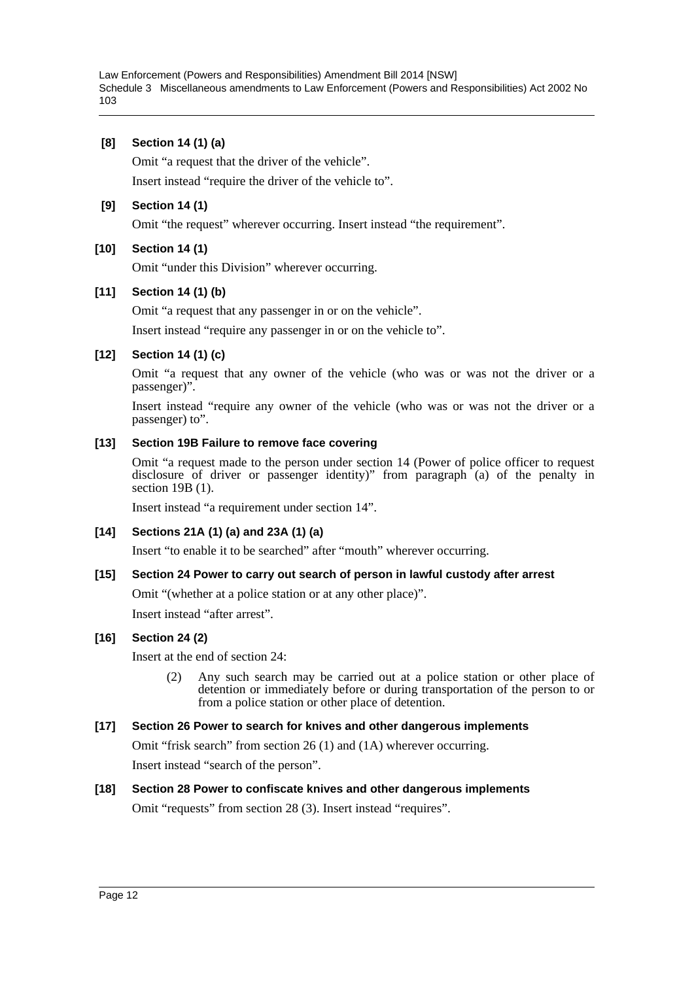# **[8] Section 14 (1) (a)**

Omit "a request that the driver of the vehicle".

Insert instead "require the driver of the vehicle to".

# **[9] Section 14 (1)**

Omit "the request" wherever occurring. Insert instead "the requirement".

# **[10] Section 14 (1)**

Omit "under this Division" wherever occurring.

# **[11] Section 14 (1) (b)**

Omit "a request that any passenger in or on the vehicle".

Insert instead "require any passenger in or on the vehicle to".

# **[12] Section 14 (1) (c)**

Omit "a request that any owner of the vehicle (who was or was not the driver or a passenger)".

Insert instead "require any owner of the vehicle (who was or was not the driver or a passenger) to".

# **[13] Section 19B Failure to remove face covering**

Omit "a request made to the person under section 14 (Power of police officer to request disclosure of driver or passenger identity)" from paragraph (a) of the penalty in section 19B (1).

Insert instead "a requirement under section 14".

#### **[14] Sections 21A (1) (a) and 23A (1) (a)**

Insert "to enable it to be searched" after "mouth" wherever occurring.

#### **[15] Section 24 Power to carry out search of person in lawful custody after arrest**

Omit "(whether at a police station or at any other place)".

Insert instead "after arrest".

#### **[16] Section 24 (2)**

Insert at the end of section 24:

(2) Any such search may be carried out at a police station or other place of detention or immediately before or during transportation of the person to or from a police station or other place of detention.

# **[17] Section 26 Power to search for knives and other dangerous implements**

Omit "frisk search" from section 26 (1) and (1A) wherever occurring.

Insert instead "search of the person".

# **[18] Section 28 Power to confiscate knives and other dangerous implements**

Omit "requests" from section 28 (3). Insert instead "requires".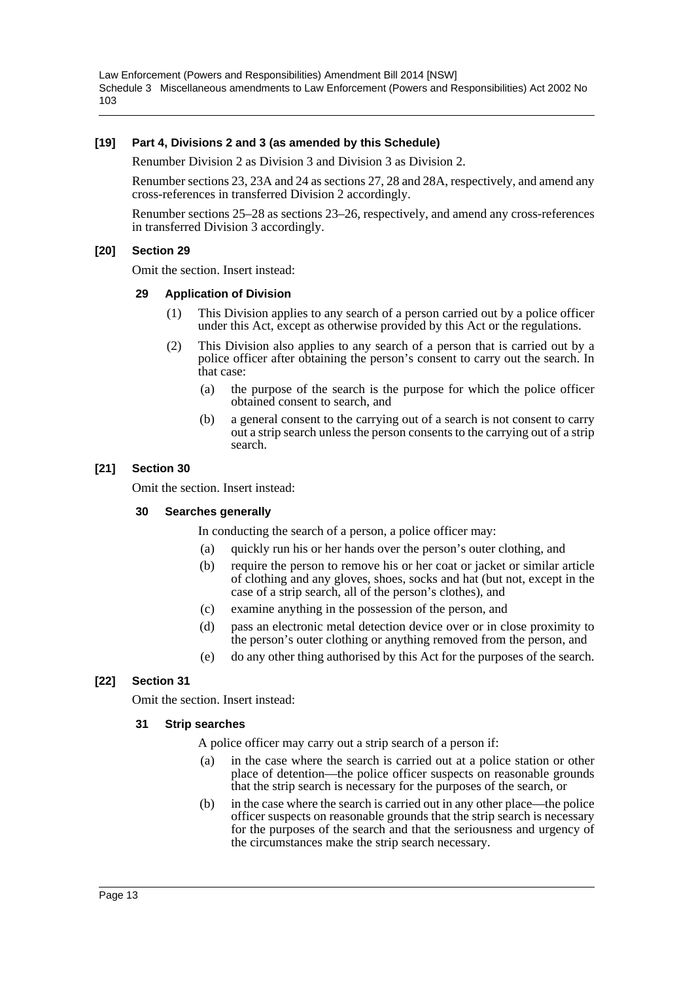#### **[19] Part 4, Divisions 2 and 3 (as amended by this Schedule)**

Renumber Division 2 as Division 3 and Division 3 as Division 2.

Renumber sections 23, 23A and 24 as sections 27, 28 and 28A, respectively, and amend any cross-references in transferred Division 2 accordingly.

Renumber sections 25–28 as sections 23–26, respectively, and amend any cross-references in transferred Division 3 accordingly.

#### **[20] Section 29**

Omit the section. Insert instead:

#### **29 Application of Division**

- (1) This Division applies to any search of a person carried out by a police officer under this Act, except as otherwise provided by this Act or the regulations.
- (2) This Division also applies to any search of a person that is carried out by a police officer after obtaining the person's consent to carry out the search. In that case:
	- (a) the purpose of the search is the purpose for which the police officer obtained consent to search, and
	- (b) a general consent to the carrying out of a search is not consent to carry out a strip search unless the person consents to the carrying out of a strip search.

#### **[21] Section 30**

Omit the section. Insert instead:

#### **30 Searches generally**

In conducting the search of a person, a police officer may:

- (a) quickly run his or her hands over the person's outer clothing, and
- (b) require the person to remove his or her coat or jacket or similar article of clothing and any gloves, shoes, socks and hat (but not, except in the case of a strip search, all of the person's clothes), and
- (c) examine anything in the possession of the person, and
- (d) pass an electronic metal detection device over or in close proximity to the person's outer clothing or anything removed from the person, and
- (e) do any other thing authorised by this Act for the purposes of the search.

#### **[22] Section 31**

Omit the section. Insert instead:

#### **31 Strip searches**

A police officer may carry out a strip search of a person if:

- (a) in the case where the search is carried out at a police station or other place of detention—the police officer suspects on reasonable grounds that the strip search is necessary for the purposes of the search, or
- (b) in the case where the search is carried out in any other place—the police officer suspects on reasonable grounds that the strip search is necessary for the purposes of the search and that the seriousness and urgency of the circumstances make the strip search necessary.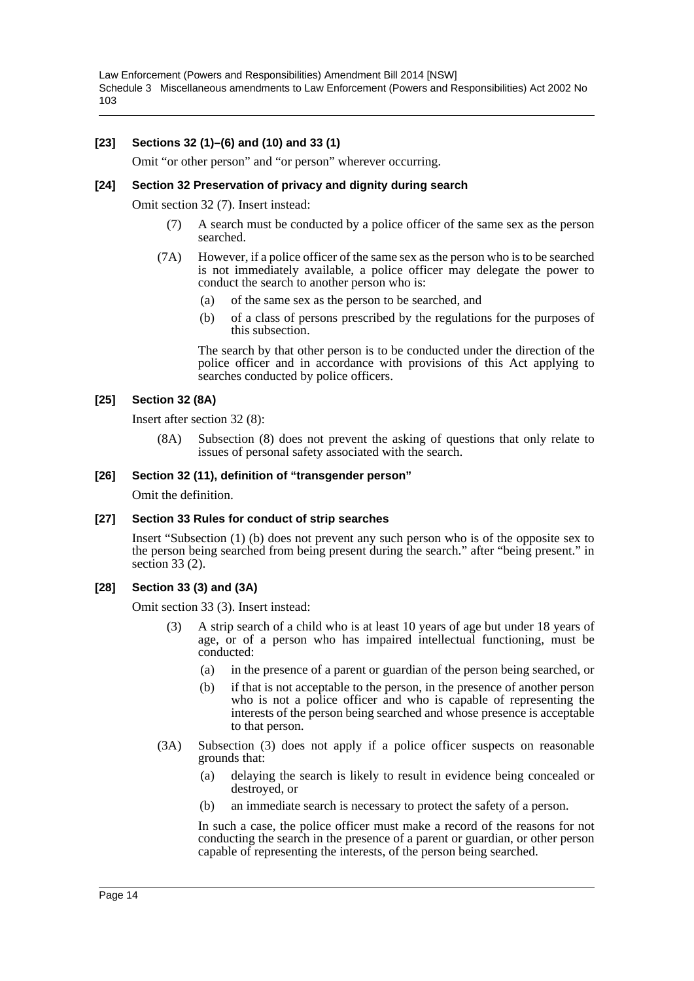# **[23] Sections 32 (1)–(6) and (10) and 33 (1)**

Omit "or other person" and "or person" wherever occurring.

#### **[24] Section 32 Preservation of privacy and dignity during search**

Omit section 32 (7). Insert instead:

- (7) A search must be conducted by a police officer of the same sex as the person searched.
- (7A) However, if a police officer of the same sex as the person who is to be searched is not immediately available, a police officer may delegate the power to conduct the search to another person who is:
	- (a) of the same sex as the person to be searched, and
	- (b) of a class of persons prescribed by the regulations for the purposes of this subsection.

The search by that other person is to be conducted under the direction of the police officer and in accordance with provisions of this Act applying to searches conducted by police officers.

#### **[25] Section 32 (8A)**

Insert after section 32 (8):

(8A) Subsection (8) does not prevent the asking of questions that only relate to issues of personal safety associated with the search.

#### **[26] Section 32 (11), definition of "transgender person"**

Omit the definition.

#### **[27] Section 33 Rules for conduct of strip searches**

Insert "Subsection (1) (b) does not prevent any such person who is of the opposite sex to the person being searched from being present during the search." after "being present." in section 33 (2).

#### **[28] Section 33 (3) and (3A)**

Omit section 33 (3). Insert instead:

- (3) A strip search of a child who is at least 10 years of age but under 18 years of age, or of a person who has impaired intellectual functioning, must be conducted:
	- (a) in the presence of a parent or guardian of the person being searched, or
	- (b) if that is not acceptable to the person, in the presence of another person who is not a police officer and who is capable of representing the interests of the person being searched and whose presence is acceptable to that person.
- (3A) Subsection (3) does not apply if a police officer suspects on reasonable grounds that:
	- (a) delaying the search is likely to result in evidence being concealed or destroyed, or
	- (b) an immediate search is necessary to protect the safety of a person.

In such a case, the police officer must make a record of the reasons for not conducting the search in the presence of a parent or guardian, or other person capable of representing the interests, of the person being searched.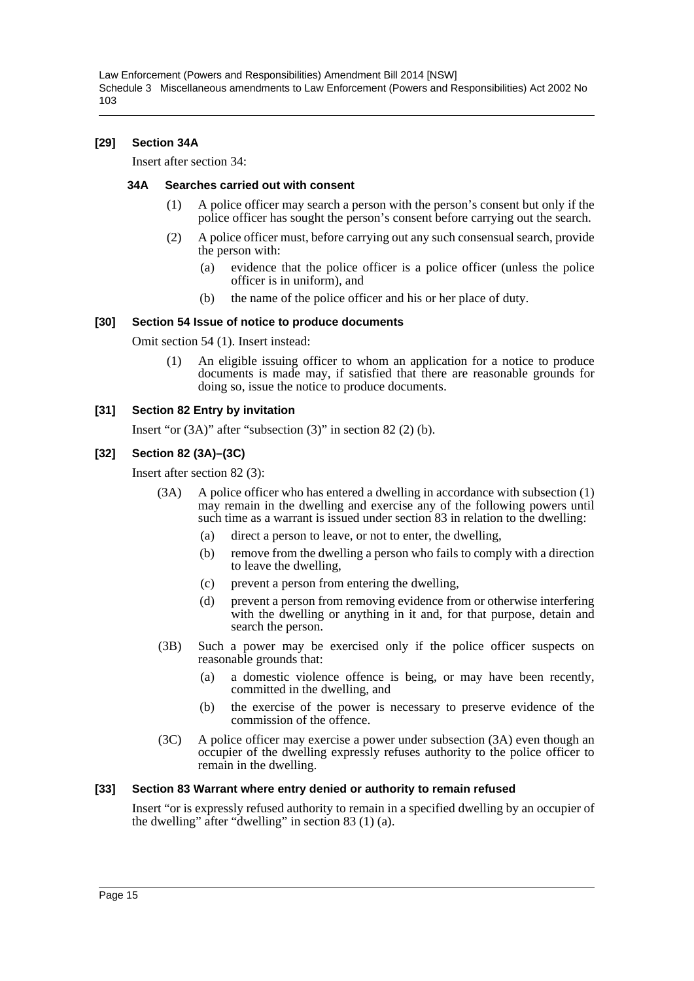#### **[29] Section 34A**

Insert after section 34:

#### **34A Searches carried out with consent**

- (1) A police officer may search a person with the person's consent but only if the police officer has sought the person's consent before carrying out the search.
- (2) A police officer must, before carrying out any such consensual search, provide the person with:
	- (a) evidence that the police officer is a police officer (unless the police officer is in uniform), and
	- (b) the name of the police officer and his or her place of duty.

#### **[30] Section 54 Issue of notice to produce documents**

Omit section 54 (1). Insert instead:

(1) An eligible issuing officer to whom an application for a notice to produce documents is made may, if satisfied that there are reasonable grounds for doing so, issue the notice to produce documents.

#### **[31] Section 82 Entry by invitation**

Insert "or (3A)" after "subsection (3)" in section 82 (2) (b).

#### **[32] Section 82 (3A)–(3C)**

Insert after section 82 (3):

- (3A) A police officer who has entered a dwelling in accordance with subsection (1) may remain in the dwelling and exercise any of the following powers until such time as a warrant is issued under section 83 in relation to the dwelling:
	- (a) direct a person to leave, or not to enter, the dwelling,
	- (b) remove from the dwelling a person who fails to comply with a direction to leave the dwelling,
	- (c) prevent a person from entering the dwelling,
	- (d) prevent a person from removing evidence from or otherwise interfering with the dwelling or anything in it and, for that purpose, detain and search the person.
- (3B) Such a power may be exercised only if the police officer suspects on reasonable grounds that:
	- (a) a domestic violence offence is being, or may have been recently, committed in the dwelling, and
	- (b) the exercise of the power is necessary to preserve evidence of the commission of the offence.
- (3C) A police officer may exercise a power under subsection (3A) even though an occupier of the dwelling expressly refuses authority to the police officer to remain in the dwelling.

#### **[33] Section 83 Warrant where entry denied or authority to remain refused**

Insert "or is expressly refused authority to remain in a specified dwelling by an occupier of the dwelling" after "dwelling" in section 83 (1) (a).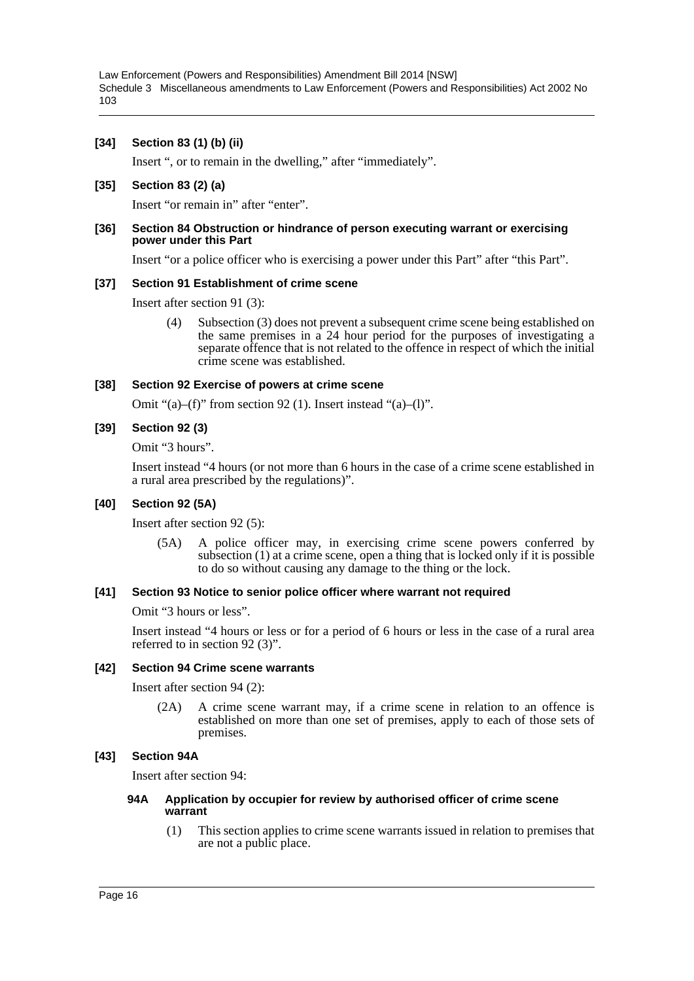#### **[34] Section 83 (1) (b) (ii)**

Insert ", or to remain in the dwelling," after "immediately".

#### **[35] Section 83 (2) (a)**

Insert "or remain in" after "enter".

#### **[36] Section 84 Obstruction or hindrance of person executing warrant or exercising power under this Part**

Insert "or a police officer who is exercising a power under this Part" after "this Part".

#### **[37] Section 91 Establishment of crime scene**

Insert after section 91 (3):

(4) Subsection (3) does not prevent a subsequent crime scene being established on the same premises in a 24 hour period for the purposes of investigating a separate offence that is not related to the offence in respect of which the initial crime scene was established.

#### **[38] Section 92 Exercise of powers at crime scene**

Omit " $(a)$ – $(f)$ " from section 92 (1). Insert instead " $(a)$ – $(l)$ ".

#### **[39] Section 92 (3)**

Omit "3 hours".

Insert instead "4 hours (or not more than 6 hours in the case of a crime scene established in a rural area prescribed by the regulations)".

#### **[40] Section 92 (5A)**

Insert after section 92 (5):

(5A) A police officer may, in exercising crime scene powers conferred by subsection (1) at a crime scene, open a thing that is locked only if it is possible to do so without causing any damage to the thing or the lock.

#### **[41] Section 93 Notice to senior police officer where warrant not required**

Omit "3 hours or less".

Insert instead "4 hours or less or for a period of 6 hours or less in the case of a rural area referred to in section 92 (3)".

#### **[42] Section 94 Crime scene warrants**

Insert after section 94 (2):

(2A) A crime scene warrant may, if a crime scene in relation to an offence is established on more than one set of premises, apply to each of those sets of premises.

#### **[43] Section 94A**

Insert after section 94:

#### **94A Application by occupier for review by authorised officer of crime scene warrant**

(1) This section applies to crime scene warrants issued in relation to premises that are not a public place.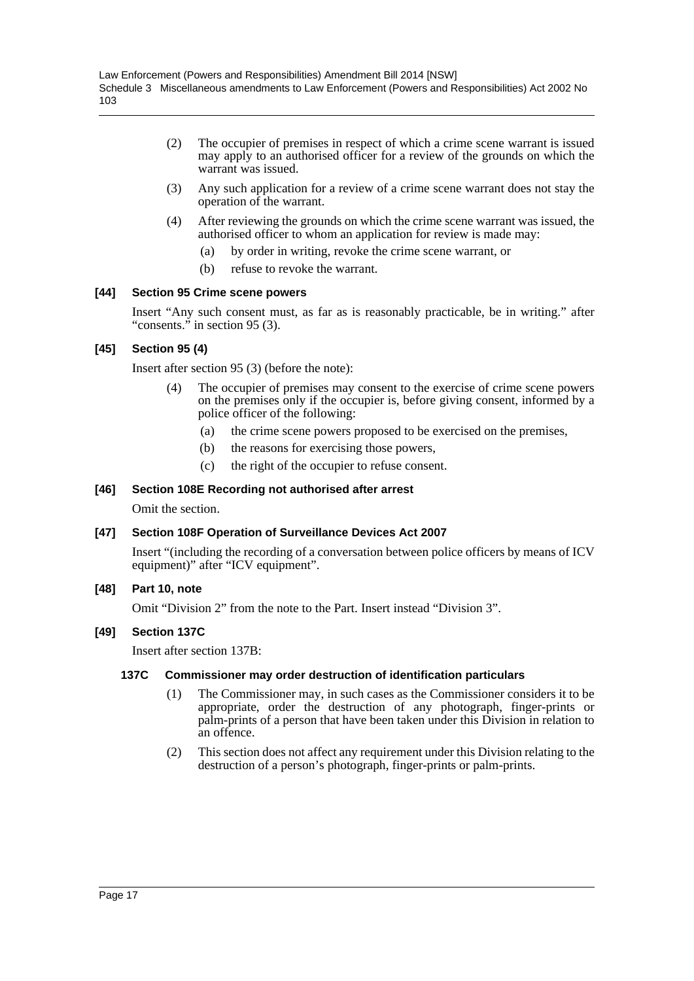- (2) The occupier of premises in respect of which a crime scene warrant is issued may apply to an authorised officer for a review of the grounds on which the warrant was issued.
- (3) Any such application for a review of a crime scene warrant does not stay the operation of the warrant.
- (4) After reviewing the grounds on which the crime scene warrant was issued, the authorised officer to whom an application for review is made may:
	- (a) by order in writing, revoke the crime scene warrant, or
	- (b) refuse to revoke the warrant.

# **[44] Section 95 Crime scene powers**

Insert "Any such consent must, as far as is reasonably practicable, be in writing." after "consents." in section 95 (3).

# **[45] Section 95 (4)**

Insert after section 95 (3) (before the note):

- (4) The occupier of premises may consent to the exercise of crime scene powers on the premises only if the occupier is, before giving consent, informed by a police officer of the following:
	- (a) the crime scene powers proposed to be exercised on the premises,
	- (b) the reasons for exercising those powers,
	- (c) the right of the occupier to refuse consent.

# **[46] Section 108E Recording not authorised after arrest**

Omit the section.

#### **[47] Section 108F Operation of Surveillance Devices Act 2007**

Insert "(including the recording of a conversation between police officers by means of ICV equipment)" after "ICV equipment".

#### **[48] Part 10, note**

Omit "Division 2" from the note to the Part. Insert instead "Division 3".

#### **[49] Section 137C**

Insert after section 137B:

#### **137C Commissioner may order destruction of identification particulars**

- (1) The Commissioner may, in such cases as the Commissioner considers it to be appropriate, order the destruction of any photograph, finger-prints or palm-prints of a person that have been taken under this Division in relation to an offence.
- (2) This section does not affect any requirement under this Division relating to the destruction of a person's photograph, finger-prints or palm-prints.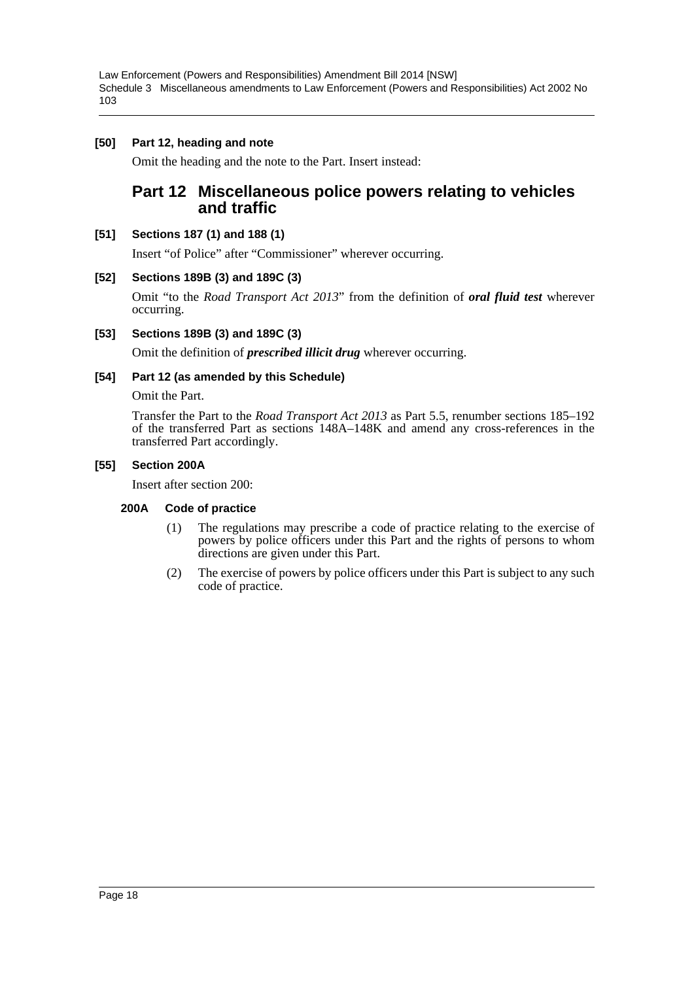# **[50] Part 12, heading and note**

Omit the heading and the note to the Part. Insert instead:

# **Part 12 Miscellaneous police powers relating to vehicles and traffic**

#### **[51] Sections 187 (1) and 188 (1)**

Insert "of Police" after "Commissioner" wherever occurring.

#### **[52] Sections 189B (3) and 189C (3)**

Omit "to the *Road Transport Act 2013*" from the definition of *oral fluid test* wherever occurring.

#### **[53] Sections 189B (3) and 189C (3)**

Omit the definition of *prescribed illicit drug* wherever occurring.

#### **[54] Part 12 (as amended by this Schedule)**

Omit the Part.

Transfer the Part to the *Road Transport Act 2013* as Part 5.5, renumber sections 185–192 of the transferred Part as sections 148A–148K and amend any cross-references in the transferred Part accordingly.

#### **[55] Section 200A**

Insert after section 200:

#### **200A Code of practice**

- (1) The regulations may prescribe a code of practice relating to the exercise of powers by police officers under this Part and the rights of persons to whom directions are given under this Part.
- (2) The exercise of powers by police officers under this Part is subject to any such code of practice.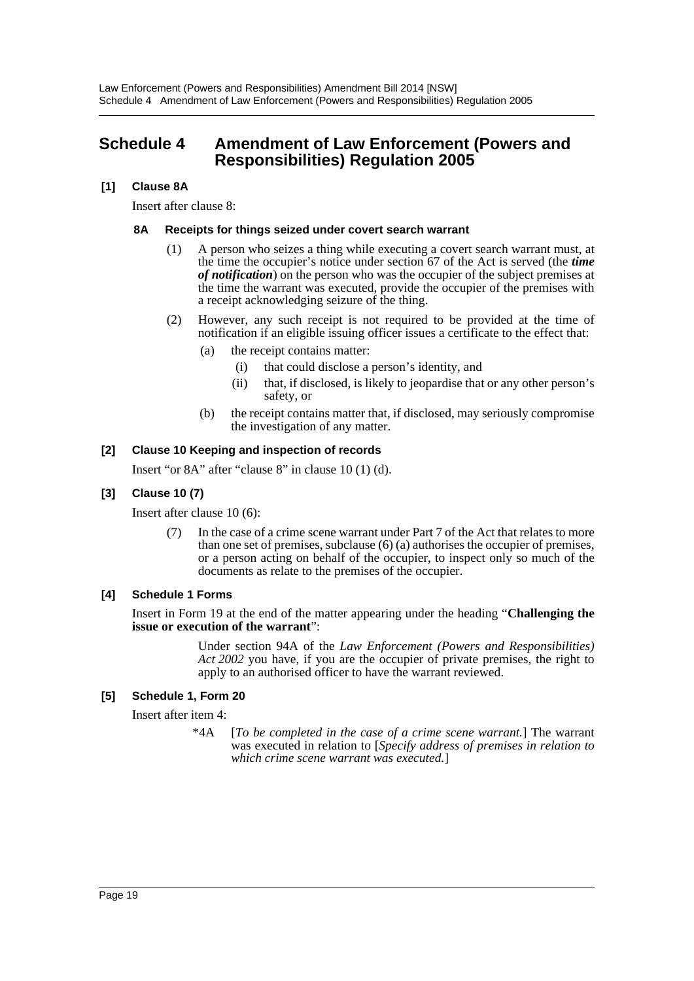# <span id="page-19-0"></span>**Schedule 4 Amendment of Law Enforcement (Powers and Responsibilities) Regulation 2005**

# **[1] Clause 8A**

Insert after clause 8:

#### **8A Receipts for things seized under covert search warrant**

- (1) A person who seizes a thing while executing a covert search warrant must, at the time the occupier's notice under section 67 of the Act is served (the *time of notification*) on the person who was the occupier of the subject premises at the time the warrant was executed, provide the occupier of the premises with a receipt acknowledging seizure of the thing.
- (2) However, any such receipt is not required to be provided at the time of notification if an eligible issuing officer issues a certificate to the effect that:
	- (a) the receipt contains matter:
		- (i) that could disclose a person's identity, and
		- (ii) that, if disclosed, is likely to jeopardise that or any other person's safety, or
	- (b) the receipt contains matter that, if disclosed, may seriously compromise the investigation of any matter.

#### **[2] Clause 10 Keeping and inspection of records**

Insert "or 8A" after "clause 8" in clause 10 (1) (d).

#### **[3] Clause 10 (7)**

Insert after clause 10 (6):

In the case of a crime scene warrant under Part 7 of the Act that relates to more than one set of premises, subclause (6) (a) authorises the occupier of premises, or a person acting on behalf of the occupier, to inspect only so much of the documents as relate to the premises of the occupier.

#### **[4] Schedule 1 Forms**

Insert in Form 19 at the end of the matter appearing under the heading "**Challenging the issue or execution of the warrant**":

> Under section 94A of the *Law Enforcement (Powers and Responsibilities) Act 2002* you have, if you are the occupier of private premises, the right to apply to an authorised officer to have the warrant reviewed.

#### **[5] Schedule 1, Form 20**

Insert after item 4:

\*4A [*To be completed in the case of a crime scene warrant.*] The warrant was executed in relation to [*Specify address of premises in relation to which crime scene warrant was executed.*]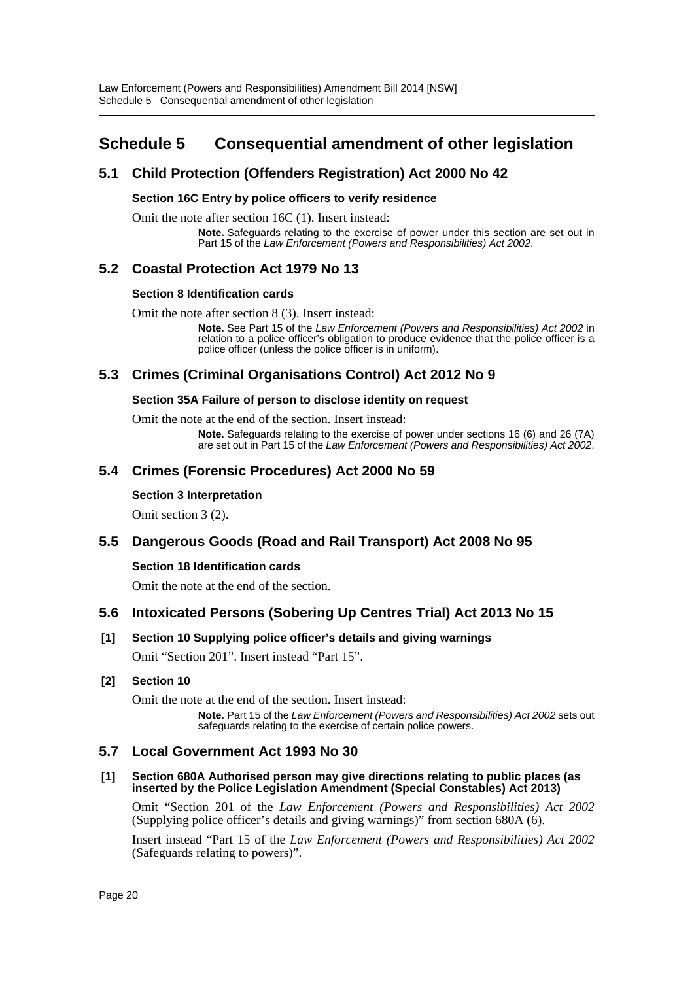# <span id="page-20-0"></span>**Schedule 5 Consequential amendment of other legislation**

# **5.1 Child Protection (Offenders Registration) Act 2000 No 42**

# **Section 16C Entry by police officers to verify residence**

Omit the note after section 16C (1). Insert instead:

**Note.** Safeguards relating to the exercise of power under this section are set out in Part 15 of the *Law Enforcement (Powers and Responsibilities) Act 2002*.

# **5.2 Coastal Protection Act 1979 No 13**

#### **Section 8 Identification cards**

Omit the note after section 8 (3). Insert instead:

**Note.** See Part 15 of the *Law Enforcement (Powers and Responsibilities) Act 2002* in relation to a police officer's obligation to produce evidence that the police officer is a police officer (unless the police officer is in uniform).

# **5.3 Crimes (Criminal Organisations Control) Act 2012 No 9**

#### **Section 35A Failure of person to disclose identity on request**

Omit the note at the end of the section. Insert instead:

**Note.** Safeguards relating to the exercise of power under sections 16 (6) and 26 (7A) are set out in Part 15 of the *Law Enforcement (Powers and Responsibilities) Act 2002*.

# **5.4 Crimes (Forensic Procedures) Act 2000 No 59**

#### **Section 3 Interpretation**

Omit section 3 (2).

# **5.5 Dangerous Goods (Road and Rail Transport) Act 2008 No 95**

#### **Section 18 Identification cards**

Omit the note at the end of the section.

# **5.6 Intoxicated Persons (Sobering Up Centres Trial) Act 2013 No 15**

#### **[1] Section 10 Supplying police officer's details and giving warnings**

Omit "Section 201". Insert instead "Part 15".

#### **[2] Section 10**

Omit the note at the end of the section. Insert instead:

**Note.** Part 15 of the *Law Enforcement (Powers and Responsibilities) Act 2002* sets out safeguards relating to the exercise of certain police powers.

# **5.7 Local Government Act 1993 No 30**

#### **[1] Section 680A Authorised person may give directions relating to public places (as inserted by the Police Legislation Amendment (Special Constables) Act 2013)**

Omit "Section 201 of the *Law Enforcement (Powers and Responsibilities) Act 2002* (Supplying police officer's details and giving warnings)" from section 680A (6).

Insert instead "Part 15 of the *Law Enforcement (Powers and Responsibilities) Act 2002* (Safeguards relating to powers)".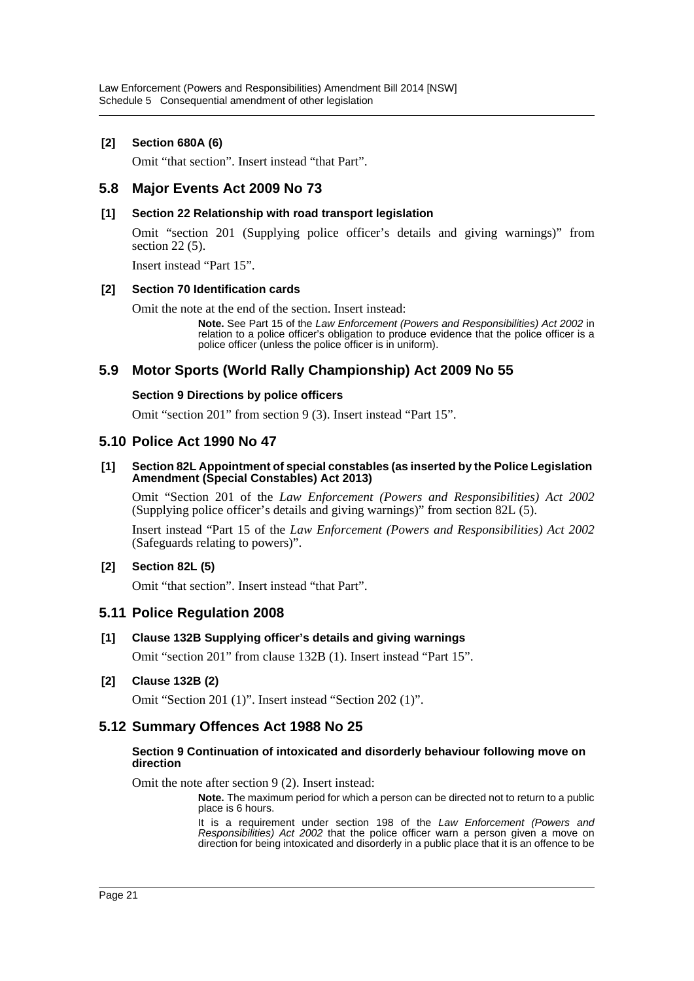# **[2] Section 680A (6)**

Omit "that section". Insert instead "that Part".

# **5.8 Major Events Act 2009 No 73**

#### **[1] Section 22 Relationship with road transport legislation**

Omit "section 201 (Supplying police officer's details and giving warnings)" from section 22 (5).

Insert instead "Part 15".

#### **[2] Section 70 Identification cards**

Omit the note at the end of the section. Insert instead:

**Note.** See Part 15 of the *Law Enforcement (Powers and Responsibilities) Act 2002* in relation to a police officer's obligation to produce evidence that the police officer is a police officer (unless the police officer is in uniform).

# **5.9 Motor Sports (World Rally Championship) Act 2009 No 55**

#### **Section 9 Directions by police officers**

Omit "section 201" from section 9 (3). Insert instead "Part 15".

# **5.10 Police Act 1990 No 47**

**[1] Section 82L Appointment of special constables (as inserted by the Police Legislation Amendment (Special Constables) Act 2013)**

Omit "Section 201 of the *Law Enforcement (Powers and Responsibilities) Act 2002* (Supplying police officer's details and giving warnings)" from section 82L (5).

Insert instead "Part 15 of the *Law Enforcement (Powers and Responsibilities) Act 2002* (Safeguards relating to powers)".

#### **[2] Section 82L (5)**

Omit "that section". Insert instead "that Part".

# **5.11 Police Regulation 2008**

#### **[1] Clause 132B Supplying officer's details and giving warnings**

Omit "section 201" from clause 132B (1). Insert instead "Part 15".

#### **[2] Clause 132B (2)**

Omit "Section 201 (1)". Insert instead "Section 202 (1)".

# **5.12 Summary Offences Act 1988 No 25**

#### **Section 9 Continuation of intoxicated and disorderly behaviour following move on direction**

Omit the note after section 9 (2). Insert instead:

**Note.** The maximum period for which a person can be directed not to return to a public place is 6 hours.

It is a requirement under section 198 of the *Law Enforcement (Powers and Responsibilities) Act 2002* that the police officer warn a person given a move on direction for being intoxicated and disorderly in a public place that it is an offence to be